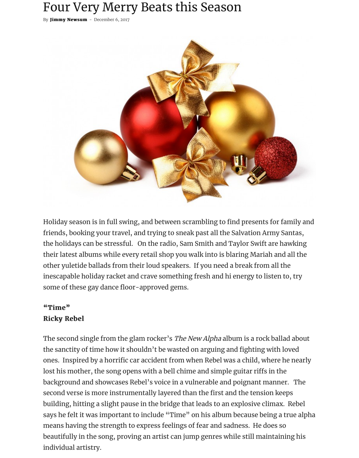# Four Very Merry Beats this Season

By [Jimmy Newsum](https://hotspotsmagazine.com/author/jimmy-newsum/) - December 6, 2017



Holiday season is in full swing, and between scrambling to find presents for family and friends, booking your travel, and trying to sneak past all the Salvation Army Santas, the holidays can be stressful. On the radio, Sam Smith and Taylor Swift are hawking their latest albums while every retail shop you walk into is blaring Mariah and all the other yuletide ballads from their loud speakers. If you need a break from all the inescapable holiday racket and crave something fresh and hi energy to listen to, try some of these gay dance floor-approved gems.

#### $"Time"$ **Ricky Rebel**

The second single from the glam rocker's *The New Alpha* album is a rock ballad about the sanctity of time how it shouldn't be wasted on arguing and fighting with loved ones. Inspired by a horrific car accident from when Rebel was a child, where he nearly lost his mother, the song opens with a bell chime and simple guitar riffs in the background and showcases Rebel's voice in a vulnerable and poignant manner. The second verse is more instrumentally layered than the first and the tension keeps building, hitting a slight pause in the bridge that leads to an explosive climax. Rebel says he felt it was important to include "Time" on his album because being a true alpha means having the strength to express feelings of fear and sadness. He does so beautifully in the song, proving an artist can jump genres while still maintaining his individual artistry.